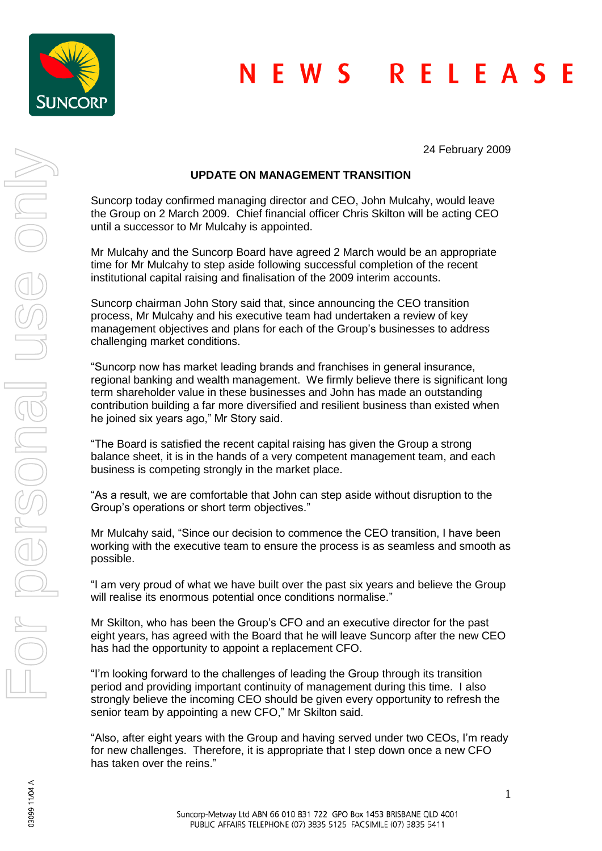

24 February 2009

## **UPDATE ON MANAGEMENT TRANSITION**

Suncorp today confirmed managing director and CEO, John Mulcahy, would leave the Group on 2 March 2009. Chief financial officer Chris Skilton will be acting CEO until a successor to Mr Mulcahy is appointed.

Mr Mulcahy and the Suncorp Board have agreed 2 March would be an appropriate time for Mr Mulcahy to step aside following successful completion of the recent institutional capital raising and finalisation of the 2009 interim accounts.

Suncorp chairman John Story said that, since announcing the CEO transition process, Mr Mulcahy and his executive team had undertaken a review of key management objectives and plans for each of the Group's businesses to address challenging market conditions.

"Suncorp now has market leading brands and franchises in general insurance, regional banking and wealth management. We firmly believe there is significant long term shareholder value in these businesses and John has made an outstanding contribution building a far more diversified and resilient business than existed when he joined six years ago," Mr Story said.

"The Board is satisfied the recent capital raising has given the Group a strong balance sheet, it is in the hands of a very competent management team, and each business is competing strongly in the market place.

"As a result, we are comfortable that John can step aside without disruption to the Group's operations or short term objectives."

Mr Mulcahy said, "Since our decision to commence the CEO transition, I have been working with the executive team to ensure the process is as seamless and smooth as possible.

"I am very proud of what we have built over the past six years and believe the Group will realise its enormous potential once conditions normalise."

Mr Skilton, who has been the Group's CFO and an executive director for the past eight years, has agreed with the Board that he will leave Suncorp after the new CEO has had the opportunity to appoint a replacement CFO.

"I'm looking forward to the challenges of leading the Group through its transition period and providing important continuity of management during this time. I also strongly believe the incoming CEO should be given every opportunity to refresh the senior team by appointing a new CFO," Mr Skilton said.

"Also, after eight years with the Group and having served under two CEOs, I'm ready for new challenges. Therefore, it is appropriate that I step down once a new CFO has taken over the reins."

03099 11/04 A